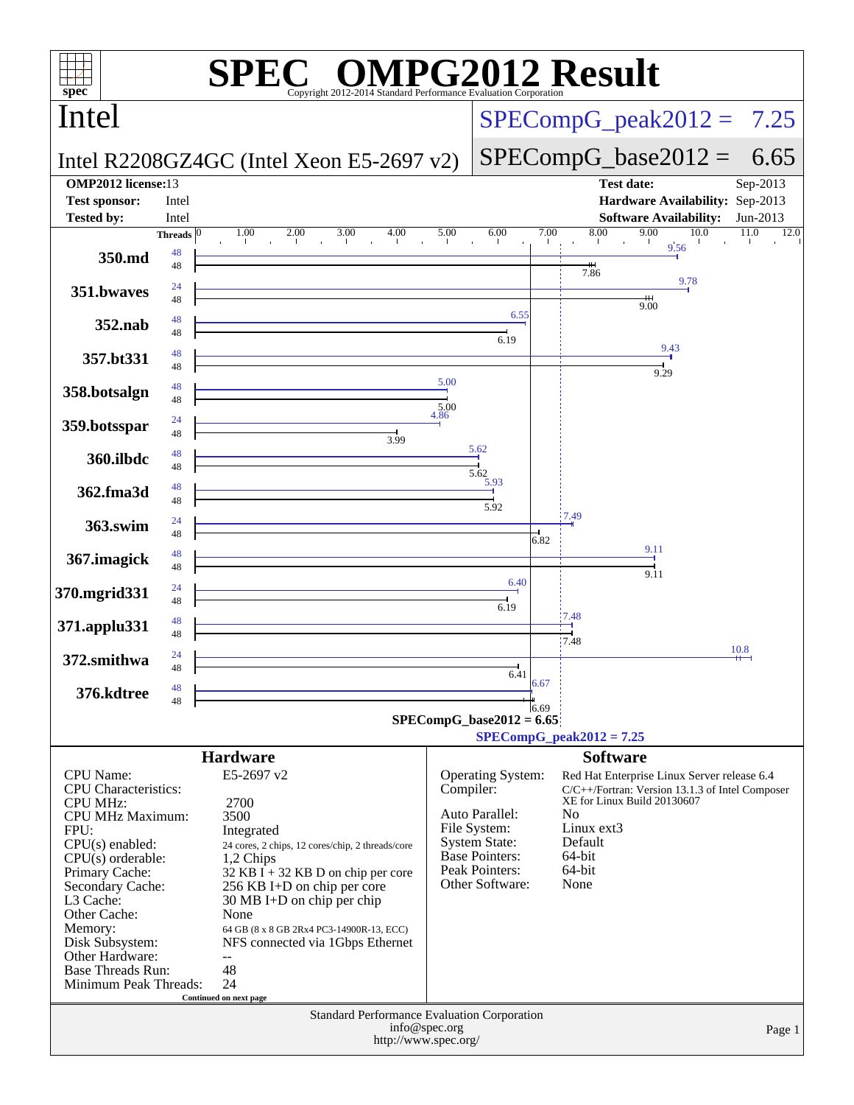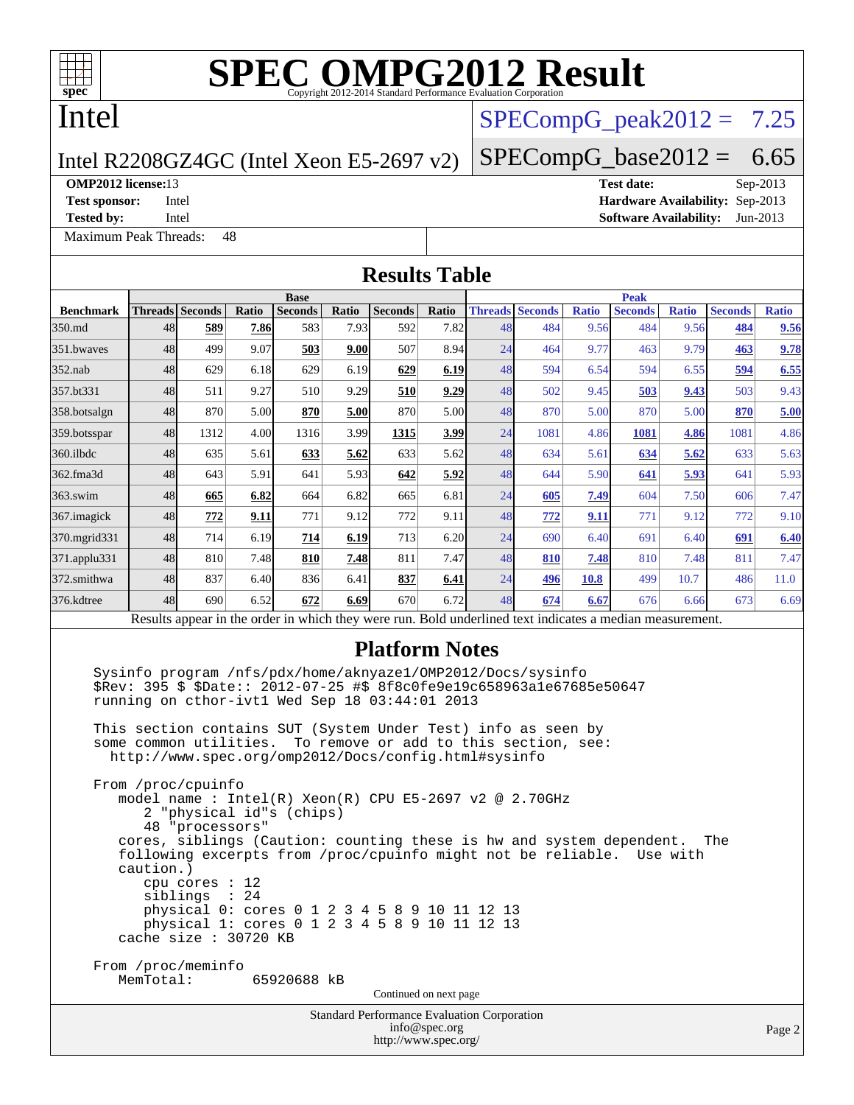

# Intel

# $SPECompG_peak2012 = 7.25$  $SPECompG_peak2012 = 7.25$

 $SPECompG_base2012 = 6.65$  $SPECompG_base2012 = 6.65$ 

#### Intel R2208GZ4GC (Intel Xeon E5-2697 v2)

[Maximum Peak Threads:](http://www.spec.org/auto/omp2012/Docs/result-fields.html#MaximumPeakThreads) 48

**[OMP2012 license:](http://www.spec.org/auto/omp2012/Docs/result-fields.html#OMP2012license)**13 **[Test date:](http://www.spec.org/auto/omp2012/Docs/result-fields.html#Testdate)** Sep-2013 **[Test sponsor:](http://www.spec.org/auto/omp2012/Docs/result-fields.html#Testsponsor)** Intel **[Hardware Availability:](http://www.spec.org/auto/omp2012/Docs/result-fields.html#HardwareAvailability)** Sep-2013 **[Tested by:](http://www.spec.org/auto/omp2012/Docs/result-fields.html#Testedby)** Intel **[Software Availability:](http://www.spec.org/auto/omp2012/Docs/result-fields.html#SoftwareAvailability)** Jun-2013

**[Results Table](http://www.spec.org/auto/omp2012/Docs/result-fields.html#ResultsTable)**

|                    | <b>Base</b> |                                                                   |       |                |       |                                                                         |       |    | <b>Peak</b>                                                                                                                                                                                     |              |                |              |                |              |  |
|--------------------|-------------|-------------------------------------------------------------------|-------|----------------|-------|-------------------------------------------------------------------------|-------|----|-------------------------------------------------------------------------------------------------------------------------------------------------------------------------------------------------|--------------|----------------|--------------|----------------|--------------|--|
| <b>Benchmark</b>   |             | Threads Seconds                                                   | Ratio | <b>Seconds</b> | Ratio | Seconds                                                                 | Ratio |    | <b>Threads Seconds</b>                                                                                                                                                                          | <b>Ratio</b> | <b>Seconds</b> | <b>Ratio</b> | <b>Seconds</b> | <b>Ratio</b> |  |
| 350.md             | 48          | 589                                                               | 7.86  | 583            | 7.93  | 592                                                                     | 7.82  | 48 | 484                                                                                                                                                                                             | 9.56         | 484            | 9.56         | 484            | 9.56         |  |
| 351.bwaves         | 48          | 499                                                               | 9.07  | 503            | 9.00  | 507                                                                     | 8.94  | 24 | 464                                                                                                                                                                                             | 9.77         | 463            | 9.79         | 463            | 9.78         |  |
| 352.nab            | 48          | 629                                                               | 6.18  | 629            | 6.19  | 629                                                                     | 6.19  | 48 | 594                                                                                                                                                                                             | 6.54         | 594            | 6.55         | 594            | 6.55         |  |
| 357.bt331          | 48          | 511                                                               | 9.27  | 510            | 9.29  | 510                                                                     | 9.29  | 48 | 502                                                                                                                                                                                             | 9.45         | 503            | 9.43         | 503            | 9.43         |  |
| 358.botsalgn       | 48          | 870                                                               | 5.00  | 870            | 5.00  | 870                                                                     | 5.00  | 48 | 870                                                                                                                                                                                             | 5.00         | 870            | 5.00         | 870            | 5.00         |  |
| 359.botsspar       | 48          | 1312                                                              | 4.00  | 1316           | 3.99  | 1315                                                                    | 3.99  | 24 | 1081                                                                                                                                                                                            | 4.86         | 1081           | 4.86         | 1081           | 4.86         |  |
| 360.ilbdc          | 48          | 635                                                               | 5.61  | 633            | 5.62  | 633                                                                     | 5.62  | 48 | 634                                                                                                                                                                                             | 5.61         | 634            | 5.62         | 633            | 5.63         |  |
| 362.fma3d          | 48          | 643                                                               | 5.91  | 641            | 5.93  | 642                                                                     | 5.92  | 48 | 644                                                                                                                                                                                             | 5.90         | 641            | 5.93         | 641            | 5.93         |  |
| $363$ .swim        | 48          | 665                                                               | 6.82  | 664            | 6.82  | 665                                                                     | 6.81  | 24 | 605                                                                                                                                                                                             | 7.49         | 604            | 7.50         | 606            | 7.47         |  |
| 367.imagick        | 48          | 772                                                               | 9.11  | 771            | 9.12  | 772                                                                     | 9.11  | 48 | 772                                                                                                                                                                                             | 9.11         | 771            | 9.12         | 772            | 9.10         |  |
| 370.mgrid331       | 48          | 714                                                               | 6.19  | 714            | 6.19  | 713                                                                     | 6.20  | 24 | 690                                                                                                                                                                                             | 6.40         | 691            | 6.40         | 691            | 6.40         |  |
| $371$ .applu $331$ | 48          | 810                                                               | 7.48  | 810            | 7.48  | 811                                                                     | 7.47  | 48 | 810                                                                                                                                                                                             | 7.48         | 810            | 7.48         | 811            | 7.47         |  |
| 372.smithwa        | 48          | 837                                                               | 6.40  | 836            | 6.41  | 837                                                                     | 6.41  | 24 | 496                                                                                                                                                                                             | 10.8         | 499            | 10.7         | 486            | 11.0         |  |
| 376.kdtree         | 48          | 690                                                               | 6.52  | 672            | 6.69  | 670                                                                     | 6.72  | 48 | 674                                                                                                                                                                                             | 6.67         | 676            | 6.66         | 673            | 6.69         |  |
|                    |             |                                                                   |       |                |       |                                                                         |       |    | Results appear in the order in which they were run. Bold underlined text indicates a median measurement.                                                                                        |              |                |              |                |              |  |
|                    |             |                                                                   |       |                |       | <b>Platform Notes</b><br>running on cthor-ivt1 Wed Sep 18 03:44:01 2013 |       |    | Sysinfo program /nfs/pdx/home/aknyaze1/OMP2012/Docs/sysinfo<br>\$Rev: 395 \$ \$Date:: 2012-07-25 #\$ 8f8c0fe9e19c658963a1e67685e50647                                                           |              |                |              |                |              |  |
|                    |             | some common utilities.                                            |       |                |       | http://www.spec.org/omp2012/Docs/config.html#sysinfo                    |       |    | This section contains SUT (System Under Test) info as seen by<br>To remove or add to this section, see:                                                                                         |              |                |              |                |              |  |
|                    | caution.)   | From /proc/cpuinfo<br>2 "physical id"s (chips)<br>48 "processors" |       |                |       |                                                                         |       |    | model name: $Intel(R)$ Xeon(R) CPU E5-2697 v2 @ 2.70GHz<br>cores, siblings (Caution: counting these is hw and system dependent.<br>following excerpts from /proc/cpuinfo might not be reliable. |              |                | Use with     | The            |              |  |

 siblings : 24 physical 0: cores 0 1 2 3 4 5 8 9 10 11 12 13 physical 1: cores 0 1 2 3 4 5 8 9 10 11 12 13

From /proc/meminfo<br>MemTotal: 65920688 kB

cache size : 30720 KB

cpu cores : 12

Continued on next page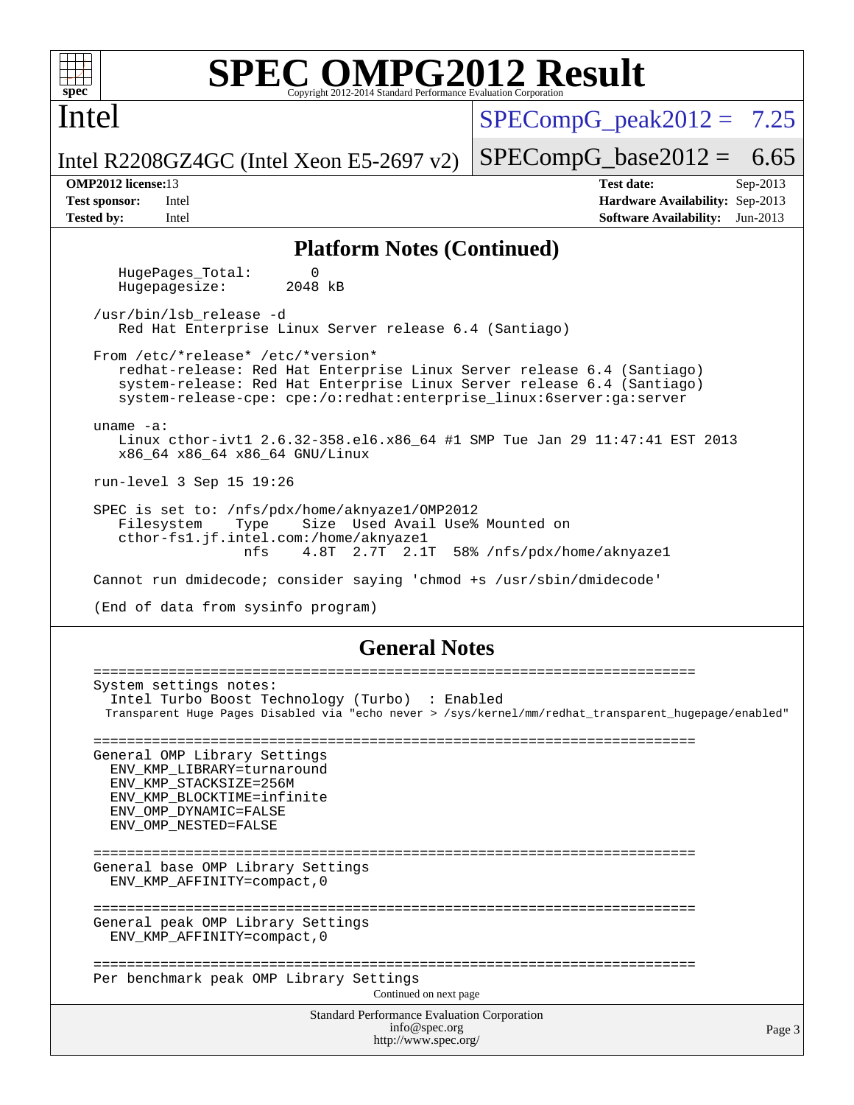

Intel

# **[SPEC OMPG2012 Result](http://www.spec.org/auto/omp2012/Docs/result-fields.html#SPECOMPG2012Result)**

 $SPECompG<sub>peak2012</sub> = 7.25$ 

 $SPECompG_base2012 = 6.65$  $SPECompG_base2012 = 6.65$ 

Intel R2208GZ4GC (Intel Xeon E5-2697 v2)

**[OMP2012 license:](http://www.spec.org/auto/omp2012/Docs/result-fields.html#OMP2012license)**13 **[Test date:](http://www.spec.org/auto/omp2012/Docs/result-fields.html#Testdate)** Sep-2013 **[Test sponsor:](http://www.spec.org/auto/omp2012/Docs/result-fields.html#Testsponsor)** Intel **[Hardware Availability:](http://www.spec.org/auto/omp2012/Docs/result-fields.html#HardwareAvailability)** Sep-2013 **[Tested by:](http://www.spec.org/auto/omp2012/Docs/result-fields.html#Testedby)** Intel **[Software Availability:](http://www.spec.org/auto/omp2012/Docs/result-fields.html#SoftwareAvailability)** Jun-2013

### **[Platform Notes \(Continued\)](http://www.spec.org/auto/omp2012/Docs/result-fields.html#PlatformNotes)**

HugePages\_Total: 0<br>Hugepagesize: 2048 kB Hugepagesize:

 /usr/bin/lsb\_release -d Red Hat Enterprise Linux Server release 6.4 (Santiago)

 From /etc/\*release\* /etc/\*version\* redhat-release: Red Hat Enterprise Linux Server release 6.4 (Santiago) system-release: Red Hat Enterprise Linux Server release 6.4 (Santiago) system-release-cpe: cpe:/o:redhat:enterprise\_linux:6server:ga:server

 uname -a: Linux cthor-ivt1 2.6.32-358.el6.x86\_64 #1 SMP Tue Jan 29 11:47:41 EST 2013 x86\_64 x86\_64 x86\_64 GNU/Linux

run-level 3 Sep 15 19:26

 SPEC is set to: /nfs/pdx/home/aknyaze1/OMP2012 Filesystem Type Size Used Avail Use% Mounted on cthor-fs1.jf.intel.com:/home/aknyaze1 nfs 4.8T 2.7T 2.1T 58% /nfs/pdx/home/aknyaze1

Cannot run dmidecode; consider saying 'chmod +s /usr/sbin/dmidecode'

(End of data from sysinfo program)

### **[General Notes](http://www.spec.org/auto/omp2012/Docs/result-fields.html#GeneralNotes)**

Standard Performance Evaluation Corporation [info@spec.org](mailto:info@spec.org) <http://www.spec.org/> ======================================================================== System settings notes: Intel Turbo Boost Technology (Turbo) : Enabled Transparent Huge Pages Disabled via "echo never > /sys/kernel/mm/redhat\_transparent\_hugepage/enabled" ======================================================================== General OMP Library Settings ENV\_KMP\_LIBRARY=turnaround ENV\_KMP\_STACKSIZE=256M ENV\_KMP\_BLOCKTIME=infinite ENV\_OMP\_DYNAMIC=FALSE ENV\_OMP\_NESTED=FALSE ======================================================================== General base OMP Library Settings ENV\_KMP\_AFFINITY=compact,0 ======================================================================== General peak OMP Library Settings ENV\_KMP\_AFFINITY=compact,0 ======================================================================== Per benchmark peak OMP Library Settings Continued on next page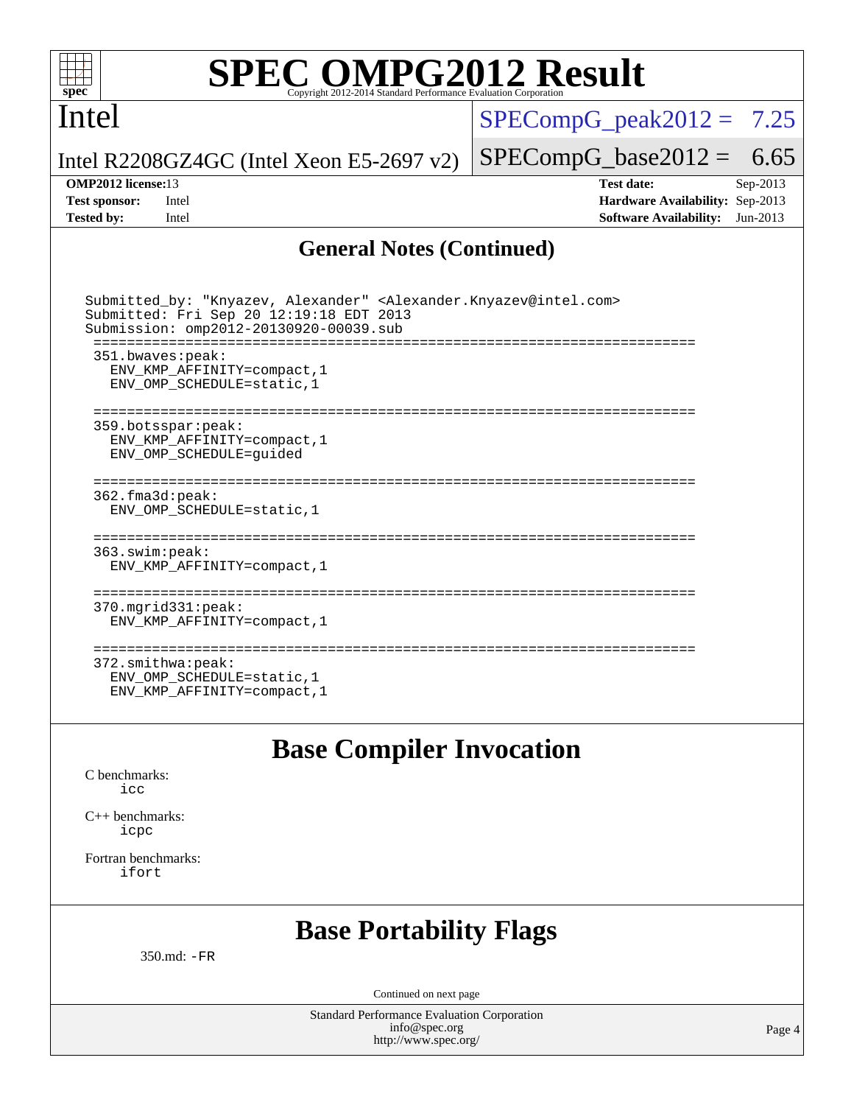

## Intel

 $SPECompG_peak2012 = 7.25$  $SPECompG_peak2012 = 7.25$ 

Intel R2208GZ4GC (Intel Xeon E5-2697 v2)

**[Tested by:](http://www.spec.org/auto/omp2012/Docs/result-fields.html#Testedby)** Intel **[Software Availability:](http://www.spec.org/auto/omp2012/Docs/result-fields.html#SoftwareAvailability)** Jun-2013

 $SPECompG_base2012 = 6.65$  $SPECompG_base2012 = 6.65$ **[OMP2012 license:](http://www.spec.org/auto/omp2012/Docs/result-fields.html#OMP2012license)**13 **[Test date:](http://www.spec.org/auto/omp2012/Docs/result-fields.html#Testdate)** Sep-2013 **[Test sponsor:](http://www.spec.org/auto/omp2012/Docs/result-fields.html#Testsponsor)** Intel **[Hardware Availability:](http://www.spec.org/auto/omp2012/Docs/result-fields.html#HardwareAvailability)** Sep-2013

### **[General Notes \(Continued\)](http://www.spec.org/auto/omp2012/Docs/result-fields.html#GeneralNotes)**

| Submitted_by: "Knyazev, Alexander" <alexander.knyazev@intel.com><br/>Submitted: Fri Sep 20 12:19:18 EDT 2013<br/>Submission: omp2012-20130920-00039.sub</alexander.knyazev@intel.com> |
|---------------------------------------------------------------------------------------------------------------------------------------------------------------------------------------|
| 351.bwaves:peak:<br>ENV KMP AFFINITY=compact, 1<br>ENV_OMP_SCHEDULE=static, 1                                                                                                         |
| 359.botsspar: peak:<br>ENV KMP AFFINITY=compact, 1<br>ENV OMP SCHEDULE=quided                                                                                                         |
| $362.f$ ma $3d:$ peak:<br>ENV OMP SCHEDULE=static, 1                                                                                                                                  |
| 363.swim:peak:<br>ENV KMP AFFINITY=compact, 1                                                                                                                                         |
| 370.mgrid331:peak:<br>ENV KMP AFFINITY=compact, 1                                                                                                                                     |
| 372.smithwa:peak:<br>ENV OMP SCHEDULE=static, 1<br>ENV KMP AFFINITY=compact, 1                                                                                                        |

### **[Base Compiler Invocation](http://www.spec.org/auto/omp2012/Docs/result-fields.html#BaseCompilerInvocation)**

[C benchmarks](http://www.spec.org/auto/omp2012/Docs/result-fields.html#Cbenchmarks): [icc](http://www.spec.org/omp2012/results/res2013q4/omp2012-20130920-00039.flags.html#user_CCbase_intel_icc_a87c68a857bc5ec5362391a49d3a37a6)

[C++ benchmarks:](http://www.spec.org/auto/omp2012/Docs/result-fields.html#CXXbenchmarks) [icpc](http://www.spec.org/omp2012/results/res2013q4/omp2012-20130920-00039.flags.html#user_CXXbase_intel_icpc_2d899f8d163502b12eb4a60069f80c1c)

[Fortran benchmarks](http://www.spec.org/auto/omp2012/Docs/result-fields.html#Fortranbenchmarks): [ifort](http://www.spec.org/omp2012/results/res2013q4/omp2012-20130920-00039.flags.html#user_FCbase_intel_ifort_8a5e5e06b19a251bdeaf8fdab5d62f20)

## **[Base Portability Flags](http://www.spec.org/auto/omp2012/Docs/result-fields.html#BasePortabilityFlags)**

350.md: [-FR](http://www.spec.org/omp2012/results/res2013q4/omp2012-20130920-00039.flags.html#user_baseFPORTABILITY350_md_f-FR)

Continued on next page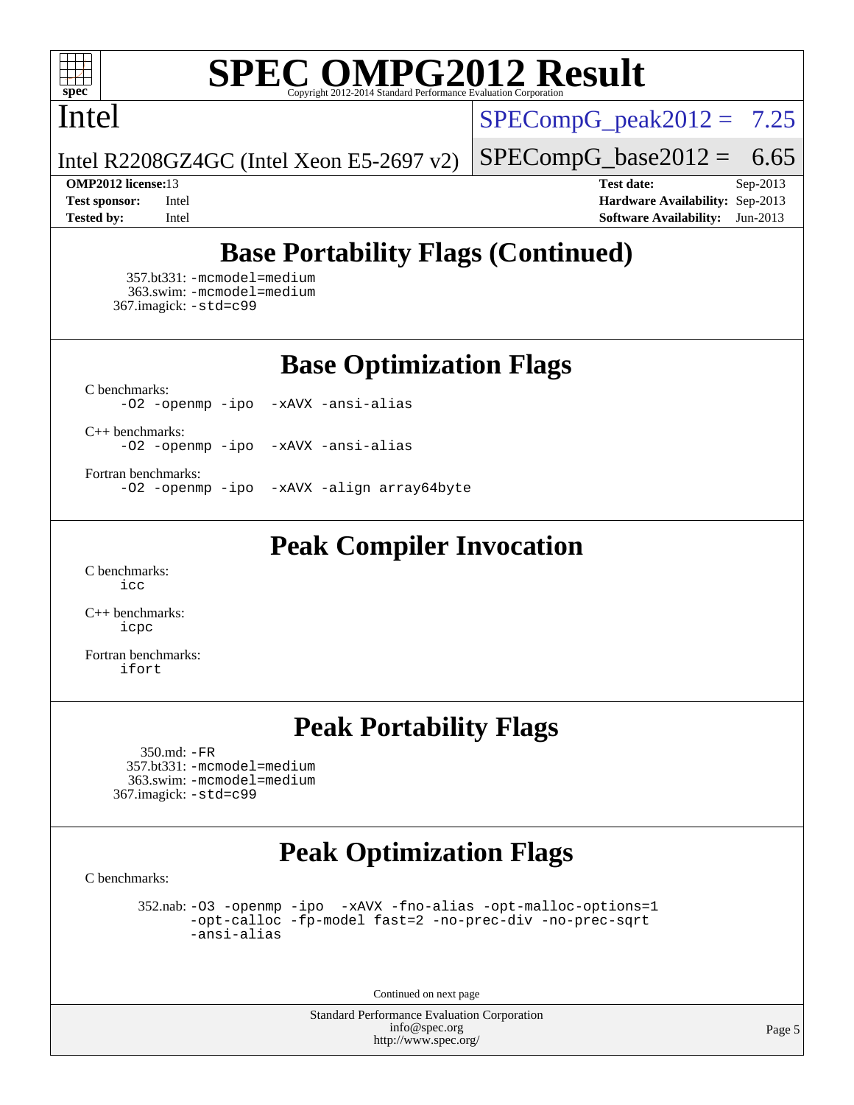

### Intel

 $SPECompG_peak2012 = 7.25$  $SPECompG_peak2012 = 7.25$ 

 $SPECompG_base2012 = 6.65$  $SPECompG_base2012 = 6.65$ 

Intel R2208GZ4GC (Intel Xeon E5-2697 v2)

**[Tested by:](http://www.spec.org/auto/omp2012/Docs/result-fields.html#Testedby)** Intel **[Software Availability:](http://www.spec.org/auto/omp2012/Docs/result-fields.html#SoftwareAvailability)** Jun-2013

**[OMP2012 license:](http://www.spec.org/auto/omp2012/Docs/result-fields.html#OMP2012license)**13 **[Test date:](http://www.spec.org/auto/omp2012/Docs/result-fields.html#Testdate)** Sep-2013 **[Test sponsor:](http://www.spec.org/auto/omp2012/Docs/result-fields.html#Testsponsor)** Intel **[Hardware Availability:](http://www.spec.org/auto/omp2012/Docs/result-fields.html#HardwareAvailability)** Sep-2013

# **[Base Portability Flags \(Continued\)](http://www.spec.org/auto/omp2012/Docs/result-fields.html#BasePortabilityFlags)**

 357.bt331: [-mcmodel=medium](http://www.spec.org/omp2012/results/res2013q4/omp2012-20130920-00039.flags.html#user_basePORTABILITY357_bt331_f-mcmodel_3a41622424bdd074c4f0f2d2f224c7e5) 363.swim: [-mcmodel=medium](http://www.spec.org/omp2012/results/res2013q4/omp2012-20130920-00039.flags.html#user_basePORTABILITY363_swim_f-mcmodel_3a41622424bdd074c4f0f2d2f224c7e5) 367.imagick: [-std=c99](http://www.spec.org/omp2012/results/res2013q4/omp2012-20130920-00039.flags.html#user_baseCPORTABILITY367_imagick_f-std_2ec6533b6e06f1c4a6c9b78d9e9cde24)

**[Base Optimization Flags](http://www.spec.org/auto/omp2012/Docs/result-fields.html#BaseOptimizationFlags)**

[C benchmarks](http://www.spec.org/auto/omp2012/Docs/result-fields.html#Cbenchmarks): [-O2](http://www.spec.org/omp2012/results/res2013q4/omp2012-20130920-00039.flags.html#user_CCbase_f-O2) [-openmp](http://www.spec.org/omp2012/results/res2013q4/omp2012-20130920-00039.flags.html#user_CCbase_f-openmp) [-ipo](http://www.spec.org/omp2012/results/res2013q4/omp2012-20130920-00039.flags.html#user_CCbase_f-ipo_84062ab53814f613187d02344b8f49a7) [-xAVX](http://www.spec.org/omp2012/results/res2013q4/omp2012-20130920-00039.flags.html#user_CCbase_f-xAVX) [-ansi-alias](http://www.spec.org/omp2012/results/res2013q4/omp2012-20130920-00039.flags.html#user_CCbase_f-ansi-alias)

[C++ benchmarks:](http://www.spec.org/auto/omp2012/Docs/result-fields.html#CXXbenchmarks) [-O2](http://www.spec.org/omp2012/results/res2013q4/omp2012-20130920-00039.flags.html#user_CXXbase_f-O2) [-openmp](http://www.spec.org/omp2012/results/res2013q4/omp2012-20130920-00039.flags.html#user_CXXbase_f-openmp) [-ipo](http://www.spec.org/omp2012/results/res2013q4/omp2012-20130920-00039.flags.html#user_CXXbase_f-ipo_84062ab53814f613187d02344b8f49a7) [-xAVX](http://www.spec.org/omp2012/results/res2013q4/omp2012-20130920-00039.flags.html#user_CXXbase_f-xAVX) [-ansi-alias](http://www.spec.org/omp2012/results/res2013q4/omp2012-20130920-00039.flags.html#user_CXXbase_f-ansi-alias)

[Fortran benchmarks](http://www.spec.org/auto/omp2012/Docs/result-fields.html#Fortranbenchmarks):

[-O2](http://www.spec.org/omp2012/results/res2013q4/omp2012-20130920-00039.flags.html#user_FCbase_f-O2) [-openmp](http://www.spec.org/omp2012/results/res2013q4/omp2012-20130920-00039.flags.html#user_FCbase_f-openmp) [-ipo](http://www.spec.org/omp2012/results/res2013q4/omp2012-20130920-00039.flags.html#user_FCbase_f-ipo_84062ab53814f613187d02344b8f49a7) [-xAVX](http://www.spec.org/omp2012/results/res2013q4/omp2012-20130920-00039.flags.html#user_FCbase_f-xAVX) [-align array64byte](http://www.spec.org/omp2012/results/res2013q4/omp2012-20130920-00039.flags.html#user_FCbase_f-align_c9377f996e966d652baaf753401d4725)

## **[Peak Compiler Invocation](http://www.spec.org/auto/omp2012/Docs/result-fields.html#PeakCompilerInvocation)**

[C benchmarks](http://www.spec.org/auto/omp2012/Docs/result-fields.html#Cbenchmarks): [icc](http://www.spec.org/omp2012/results/res2013q4/omp2012-20130920-00039.flags.html#user_CCpeak_intel_icc_a87c68a857bc5ec5362391a49d3a37a6)

[C++ benchmarks:](http://www.spec.org/auto/omp2012/Docs/result-fields.html#CXXbenchmarks) [icpc](http://www.spec.org/omp2012/results/res2013q4/omp2012-20130920-00039.flags.html#user_CXXpeak_intel_icpc_2d899f8d163502b12eb4a60069f80c1c)

[Fortran benchmarks](http://www.spec.org/auto/omp2012/Docs/result-fields.html#Fortranbenchmarks): [ifort](http://www.spec.org/omp2012/results/res2013q4/omp2012-20130920-00039.flags.html#user_FCpeak_intel_ifort_8a5e5e06b19a251bdeaf8fdab5d62f20)

## **[Peak Portability Flags](http://www.spec.org/auto/omp2012/Docs/result-fields.html#PeakPortabilityFlags)**

 350.md: [-FR](http://www.spec.org/omp2012/results/res2013q4/omp2012-20130920-00039.flags.html#user_peakFPORTABILITY350_md_f-FR) 357.bt331: [-mcmodel=medium](http://www.spec.org/omp2012/results/res2013q4/omp2012-20130920-00039.flags.html#user_peakPORTABILITY357_bt331_f-mcmodel_3a41622424bdd074c4f0f2d2f224c7e5) 363.swim: [-mcmodel=medium](http://www.spec.org/omp2012/results/res2013q4/omp2012-20130920-00039.flags.html#user_peakPORTABILITY363_swim_f-mcmodel_3a41622424bdd074c4f0f2d2f224c7e5) 367.imagick: [-std=c99](http://www.spec.org/omp2012/results/res2013q4/omp2012-20130920-00039.flags.html#user_peakCPORTABILITY367_imagick_f-std_2ec6533b6e06f1c4a6c9b78d9e9cde24)

# **[Peak Optimization Flags](http://www.spec.org/auto/omp2012/Docs/result-fields.html#PeakOptimizationFlags)**

[C benchmarks](http://www.spec.org/auto/omp2012/Docs/result-fields.html#Cbenchmarks):

 352.nab: [-O3](http://www.spec.org/omp2012/results/res2013q4/omp2012-20130920-00039.flags.html#user_peakOPTIMIZE352_nab_f-O3) [-openmp](http://www.spec.org/omp2012/results/res2013q4/omp2012-20130920-00039.flags.html#user_peakOPTIMIZE352_nab_f-openmp) [-ipo](http://www.spec.org/omp2012/results/res2013q4/omp2012-20130920-00039.flags.html#user_peakOPTIMIZE352_nab_f-ipo_84062ab53814f613187d02344b8f49a7) [-xAVX](http://www.spec.org/omp2012/results/res2013q4/omp2012-20130920-00039.flags.html#user_peakOPTIMIZE352_nab_f-xAVX) [-fno-alias](http://www.spec.org/omp2012/results/res2013q4/omp2012-20130920-00039.flags.html#user_peakOPTIMIZE352_nab_f-no-alias_694e77f6c5a51e658e82ccff53a9e63a) [-opt-malloc-options=1](http://www.spec.org/omp2012/results/res2013q4/omp2012-20130920-00039.flags.html#user_peakOPTIMIZE352_nab_f-opt-malloc-options_d882ffc6ff87e51efe45f9a5190004b0) [-opt-calloc](http://www.spec.org/omp2012/results/res2013q4/omp2012-20130920-00039.flags.html#user_peakOPTIMIZE352_nab_f-opt-calloc) [-fp-model fast=2](http://www.spec.org/omp2012/results/res2013q4/omp2012-20130920-00039.flags.html#user_peakOPTIMIZE352_nab_f-fp-model_a7fb8ccb7275e23f0079632c153cfcab) [-no-prec-div](http://www.spec.org/omp2012/results/res2013q4/omp2012-20130920-00039.flags.html#user_peakOPTIMIZE352_nab_f-no-prec-div) [-no-prec-sqrt](http://www.spec.org/omp2012/results/res2013q4/omp2012-20130920-00039.flags.html#user_peakOPTIMIZE352_nab_f-no-prec-sqrt) [-ansi-alias](http://www.spec.org/omp2012/results/res2013q4/omp2012-20130920-00039.flags.html#user_peakCOPTIMIZE352_nab_f-ansi-alias)

Continued on next page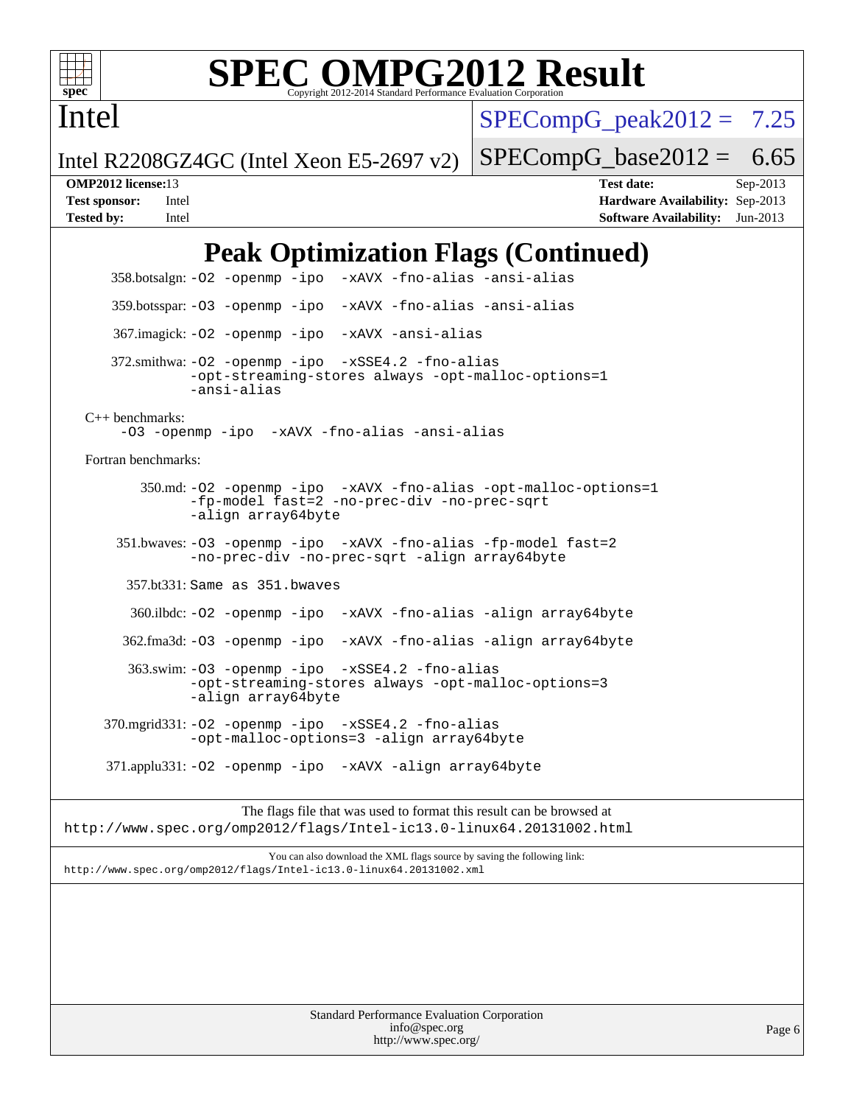

Intel

# **[SPEC OMPG2012 Result](http://www.spec.org/auto/omp2012/Docs/result-fields.html#SPECOMPG2012Result)**

 $SPECompG_peak2012 = 7.25$  $SPECompG_peak2012 = 7.25$ 

 $SPECompG_base2012 = 6.65$  $SPECompG_base2012 = 6.65$ 

Intel R2208GZ4GC (Intel Xeon E5-2697 v2)

**[OMP2012 license:](http://www.spec.org/auto/omp2012/Docs/result-fields.html#OMP2012license)**13 **[Test date:](http://www.spec.org/auto/omp2012/Docs/result-fields.html#Testdate)** Sep-2013 **[Test sponsor:](http://www.spec.org/auto/omp2012/Docs/result-fields.html#Testsponsor)** Intel **[Hardware Availability:](http://www.spec.org/auto/omp2012/Docs/result-fields.html#HardwareAvailability)** Sep-2013 **[Tested by:](http://www.spec.org/auto/omp2012/Docs/result-fields.html#Testedby)** Intel **[Software Availability:](http://www.spec.org/auto/omp2012/Docs/result-fields.html#SoftwareAvailability)** Jun-2013

# **[Peak Optimization Flags \(Continued\)](http://www.spec.org/auto/omp2012/Docs/result-fields.html#PeakOptimizationFlags)**

 358.botsalgn: [-O2](http://www.spec.org/omp2012/results/res2013q4/omp2012-20130920-00039.flags.html#user_peakOPTIMIZE358_botsalgn_f-O2) [-openmp](http://www.spec.org/omp2012/results/res2013q4/omp2012-20130920-00039.flags.html#user_peakOPTIMIZE358_botsalgn_f-openmp) [-ipo](http://www.spec.org/omp2012/results/res2013q4/omp2012-20130920-00039.flags.html#user_peakOPTIMIZE358_botsalgn_f-ipo_84062ab53814f613187d02344b8f49a7) [-xAVX](http://www.spec.org/omp2012/results/res2013q4/omp2012-20130920-00039.flags.html#user_peakOPTIMIZE358_botsalgn_f-xAVX) [-fno-alias](http://www.spec.org/omp2012/results/res2013q4/omp2012-20130920-00039.flags.html#user_peakOPTIMIZE358_botsalgn_f-no-alias_694e77f6c5a51e658e82ccff53a9e63a) [-ansi-alias](http://www.spec.org/omp2012/results/res2013q4/omp2012-20130920-00039.flags.html#user_peakCOPTIMIZE358_botsalgn_f-ansi-alias) 359.botsspar: [-O3](http://www.spec.org/omp2012/results/res2013q4/omp2012-20130920-00039.flags.html#user_peakOPTIMIZE359_botsspar_f-O3) [-openmp](http://www.spec.org/omp2012/results/res2013q4/omp2012-20130920-00039.flags.html#user_peakOPTIMIZE359_botsspar_f-openmp) [-ipo](http://www.spec.org/omp2012/results/res2013q4/omp2012-20130920-00039.flags.html#user_peakOPTIMIZE359_botsspar_f-ipo_84062ab53814f613187d02344b8f49a7) [-xAVX](http://www.spec.org/omp2012/results/res2013q4/omp2012-20130920-00039.flags.html#user_peakOPTIMIZE359_botsspar_f-xAVX) [-fno-alias](http://www.spec.org/omp2012/results/res2013q4/omp2012-20130920-00039.flags.html#user_peakOPTIMIZE359_botsspar_f-no-alias_694e77f6c5a51e658e82ccff53a9e63a) [-ansi-alias](http://www.spec.org/omp2012/results/res2013q4/omp2012-20130920-00039.flags.html#user_peakCOPTIMIZE359_botsspar_f-ansi-alias) 367.imagick: [-O2](http://www.spec.org/omp2012/results/res2013q4/omp2012-20130920-00039.flags.html#user_peakOPTIMIZE367_imagick_f-O2) [-openmp](http://www.spec.org/omp2012/results/res2013q4/omp2012-20130920-00039.flags.html#user_peakOPTIMIZE367_imagick_f-openmp) [-ipo](http://www.spec.org/omp2012/results/res2013q4/omp2012-20130920-00039.flags.html#user_peakOPTIMIZE367_imagick_f-ipo_84062ab53814f613187d02344b8f49a7) [-xAVX](http://www.spec.org/omp2012/results/res2013q4/omp2012-20130920-00039.flags.html#user_peakOPTIMIZE367_imagick_f-xAVX) [-ansi-alias](http://www.spec.org/omp2012/results/res2013q4/omp2012-20130920-00039.flags.html#user_peakCOPTIMIZE367_imagick_f-ansi-alias) 372.smithwa: [-O2](http://www.spec.org/omp2012/results/res2013q4/omp2012-20130920-00039.flags.html#user_peakOPTIMIZE372_smithwa_f-O2) [-openmp](http://www.spec.org/omp2012/results/res2013q4/omp2012-20130920-00039.flags.html#user_peakOPTIMIZE372_smithwa_f-openmp) [-ipo](http://www.spec.org/omp2012/results/res2013q4/omp2012-20130920-00039.flags.html#user_peakOPTIMIZE372_smithwa_f-ipo_84062ab53814f613187d02344b8f49a7) [-xSSE4.2](http://www.spec.org/omp2012/results/res2013q4/omp2012-20130920-00039.flags.html#user_peakOPTIMIZE372_smithwa_f-xSSE42_f91528193cf0b216347adb8b939d4107) [-fno-alias](http://www.spec.org/omp2012/results/res2013q4/omp2012-20130920-00039.flags.html#user_peakOPTIMIZE372_smithwa_f-no-alias_694e77f6c5a51e658e82ccff53a9e63a) [-opt-streaming-stores always](http://www.spec.org/omp2012/results/res2013q4/omp2012-20130920-00039.flags.html#user_peakOPTIMIZE372_smithwa_f-opt-streaming-stores-always_66f55dbc532842151ebc4c82f4f5b019) [-opt-malloc-options=1](http://www.spec.org/omp2012/results/res2013q4/omp2012-20130920-00039.flags.html#user_peakOPTIMIZE372_smithwa_f-opt-malloc-options_d882ffc6ff87e51efe45f9a5190004b0) [-ansi-alias](http://www.spec.org/omp2012/results/res2013q4/omp2012-20130920-00039.flags.html#user_peakCOPTIMIZE372_smithwa_f-ansi-alias) [C++ benchmarks:](http://www.spec.org/auto/omp2012/Docs/result-fields.html#CXXbenchmarks) [-O3](http://www.spec.org/omp2012/results/res2013q4/omp2012-20130920-00039.flags.html#user_CXXpeak_f-O3) [-openmp](http://www.spec.org/omp2012/results/res2013q4/omp2012-20130920-00039.flags.html#user_CXXpeak_f-openmp) [-ipo](http://www.spec.org/omp2012/results/res2013q4/omp2012-20130920-00039.flags.html#user_CXXpeak_f-ipo_84062ab53814f613187d02344b8f49a7) [-xAVX](http://www.spec.org/omp2012/results/res2013q4/omp2012-20130920-00039.flags.html#user_CXXpeak_f-xAVX) [-fno-alias](http://www.spec.org/omp2012/results/res2013q4/omp2012-20130920-00039.flags.html#user_CXXpeak_f-no-alias_694e77f6c5a51e658e82ccff53a9e63a) [-ansi-alias](http://www.spec.org/omp2012/results/res2013q4/omp2012-20130920-00039.flags.html#user_CXXpeak_f-ansi-alias) [Fortran benchmarks](http://www.spec.org/auto/omp2012/Docs/result-fields.html#Fortranbenchmarks): 350.md: [-O2](http://www.spec.org/omp2012/results/res2013q4/omp2012-20130920-00039.flags.html#user_peakOPTIMIZE350_md_f-O2) [-openmp](http://www.spec.org/omp2012/results/res2013q4/omp2012-20130920-00039.flags.html#user_peakOPTIMIZE350_md_f-openmp) [-ipo](http://www.spec.org/omp2012/results/res2013q4/omp2012-20130920-00039.flags.html#user_peakOPTIMIZE350_md_f-ipo_84062ab53814f613187d02344b8f49a7) [-xAVX](http://www.spec.org/omp2012/results/res2013q4/omp2012-20130920-00039.flags.html#user_peakOPTIMIZE350_md_f-xAVX) [-fno-alias](http://www.spec.org/omp2012/results/res2013q4/omp2012-20130920-00039.flags.html#user_peakOPTIMIZE350_md_f-no-alias_694e77f6c5a51e658e82ccff53a9e63a) [-opt-malloc-options=1](http://www.spec.org/omp2012/results/res2013q4/omp2012-20130920-00039.flags.html#user_peakOPTIMIZE350_md_f-opt-malloc-options_d882ffc6ff87e51efe45f9a5190004b0) [-fp-model fast=2](http://www.spec.org/omp2012/results/res2013q4/omp2012-20130920-00039.flags.html#user_peakFOPTIMIZE350_md_f-fp-model_a7fb8ccb7275e23f0079632c153cfcab) [-no-prec-div](http://www.spec.org/omp2012/results/res2013q4/omp2012-20130920-00039.flags.html#user_peakFOPTIMIZE350_md_f-no-prec-div) [-no-prec-sqrt](http://www.spec.org/omp2012/results/res2013q4/omp2012-20130920-00039.flags.html#user_peakFOPTIMIZE350_md_f-no-prec-sqrt) [-align array64byte](http://www.spec.org/omp2012/results/res2013q4/omp2012-20130920-00039.flags.html#user_peakFOPTIMIZE350_md_f-align_c9377f996e966d652baaf753401d4725) 351.bwaves: [-O3](http://www.spec.org/omp2012/results/res2013q4/omp2012-20130920-00039.flags.html#user_peakOPTIMIZE351_bwaves_f-O3) [-openmp](http://www.spec.org/omp2012/results/res2013q4/omp2012-20130920-00039.flags.html#user_peakOPTIMIZE351_bwaves_f-openmp) [-ipo](http://www.spec.org/omp2012/results/res2013q4/omp2012-20130920-00039.flags.html#user_peakOPTIMIZE351_bwaves_f-ipo_84062ab53814f613187d02344b8f49a7) [-xAVX](http://www.spec.org/omp2012/results/res2013q4/omp2012-20130920-00039.flags.html#user_peakOPTIMIZE351_bwaves_f-xAVX) [-fno-alias](http://www.spec.org/omp2012/results/res2013q4/omp2012-20130920-00039.flags.html#user_peakOPTIMIZE351_bwaves_f-no-alias_694e77f6c5a51e658e82ccff53a9e63a) [-fp-model fast=2](http://www.spec.org/omp2012/results/res2013q4/omp2012-20130920-00039.flags.html#user_peakFOPTIMIZE351_bwaves_f-fp-model_a7fb8ccb7275e23f0079632c153cfcab) [-no-prec-div](http://www.spec.org/omp2012/results/res2013q4/omp2012-20130920-00039.flags.html#user_peakFOPTIMIZE351_bwaves_f-no-prec-div) [-no-prec-sqrt](http://www.spec.org/omp2012/results/res2013q4/omp2012-20130920-00039.flags.html#user_peakFOPTIMIZE351_bwaves_f-no-prec-sqrt) [-align array64byte](http://www.spec.org/omp2012/results/res2013q4/omp2012-20130920-00039.flags.html#user_peakFOPTIMIZE351_bwaves_f-align_c9377f996e966d652baaf753401d4725) 357.bt331: Same as 351.bwaves 360.ilbdc: [-O2](http://www.spec.org/omp2012/results/res2013q4/omp2012-20130920-00039.flags.html#user_peakOPTIMIZE360_ilbdc_f-O2) [-openmp](http://www.spec.org/omp2012/results/res2013q4/omp2012-20130920-00039.flags.html#user_peakOPTIMIZE360_ilbdc_f-openmp) [-ipo](http://www.spec.org/omp2012/results/res2013q4/omp2012-20130920-00039.flags.html#user_peakOPTIMIZE360_ilbdc_f-ipo_84062ab53814f613187d02344b8f49a7) [-xAVX](http://www.spec.org/omp2012/results/res2013q4/omp2012-20130920-00039.flags.html#user_peakOPTIMIZE360_ilbdc_f-xAVX) [-fno-alias](http://www.spec.org/omp2012/results/res2013q4/omp2012-20130920-00039.flags.html#user_peakOPTIMIZE360_ilbdc_f-no-alias_694e77f6c5a51e658e82ccff53a9e63a) [-align array64byte](http://www.spec.org/omp2012/results/res2013q4/omp2012-20130920-00039.flags.html#user_peakFOPTIMIZE360_ilbdc_f-align_c9377f996e966d652baaf753401d4725) 362.fma3d: [-O3](http://www.spec.org/omp2012/results/res2013q4/omp2012-20130920-00039.flags.html#user_peakOPTIMIZE362_fma3d_f-O3) [-openmp](http://www.spec.org/omp2012/results/res2013q4/omp2012-20130920-00039.flags.html#user_peakOPTIMIZE362_fma3d_f-openmp) [-ipo](http://www.spec.org/omp2012/results/res2013q4/omp2012-20130920-00039.flags.html#user_peakOPTIMIZE362_fma3d_f-ipo_84062ab53814f613187d02344b8f49a7) [-xAVX](http://www.spec.org/omp2012/results/res2013q4/omp2012-20130920-00039.flags.html#user_peakOPTIMIZE362_fma3d_f-xAVX) [-fno-alias](http://www.spec.org/omp2012/results/res2013q4/omp2012-20130920-00039.flags.html#user_peakOPTIMIZE362_fma3d_f-no-alias_694e77f6c5a51e658e82ccff53a9e63a) [-align array64byte](http://www.spec.org/omp2012/results/res2013q4/omp2012-20130920-00039.flags.html#user_peakFOPTIMIZE362_fma3d_f-align_c9377f996e966d652baaf753401d4725) 363.swim: [-O3](http://www.spec.org/omp2012/results/res2013q4/omp2012-20130920-00039.flags.html#user_peakOPTIMIZE363_swim_f-O3) [-openmp](http://www.spec.org/omp2012/results/res2013q4/omp2012-20130920-00039.flags.html#user_peakOPTIMIZE363_swim_f-openmp) [-ipo](http://www.spec.org/omp2012/results/res2013q4/omp2012-20130920-00039.flags.html#user_peakOPTIMIZE363_swim_f-ipo_84062ab53814f613187d02344b8f49a7) [-xSSE4.2](http://www.spec.org/omp2012/results/res2013q4/omp2012-20130920-00039.flags.html#user_peakOPTIMIZE363_swim_f-xSSE42_f91528193cf0b216347adb8b939d4107) [-fno-alias](http://www.spec.org/omp2012/results/res2013q4/omp2012-20130920-00039.flags.html#user_peakOPTIMIZE363_swim_f-no-alias_694e77f6c5a51e658e82ccff53a9e63a) [-opt-streaming-stores always](http://www.spec.org/omp2012/results/res2013q4/omp2012-20130920-00039.flags.html#user_peakOPTIMIZE363_swim_f-opt-streaming-stores-always_66f55dbc532842151ebc4c82f4f5b019) [-opt-malloc-options=3](http://www.spec.org/omp2012/results/res2013q4/omp2012-20130920-00039.flags.html#user_peakOPTIMIZE363_swim_f-opt-malloc-options_13ab9b803cf986b4ee62f0a5998c2238) [-align array64byte](http://www.spec.org/omp2012/results/res2013q4/omp2012-20130920-00039.flags.html#user_peakFOPTIMIZE363_swim_f-align_c9377f996e966d652baaf753401d4725) 370.mgrid331: [-O2](http://www.spec.org/omp2012/results/res2013q4/omp2012-20130920-00039.flags.html#user_peakOPTIMIZE370_mgrid331_f-O2) [-openmp](http://www.spec.org/omp2012/results/res2013q4/omp2012-20130920-00039.flags.html#user_peakOPTIMIZE370_mgrid331_f-openmp) [-ipo](http://www.spec.org/omp2012/results/res2013q4/omp2012-20130920-00039.flags.html#user_peakOPTIMIZE370_mgrid331_f-ipo_84062ab53814f613187d02344b8f49a7) [-xSSE4.2](http://www.spec.org/omp2012/results/res2013q4/omp2012-20130920-00039.flags.html#user_peakOPTIMIZE370_mgrid331_f-xSSE42_f91528193cf0b216347adb8b939d4107) [-fno-alias](http://www.spec.org/omp2012/results/res2013q4/omp2012-20130920-00039.flags.html#user_peakOPTIMIZE370_mgrid331_f-no-alias_694e77f6c5a51e658e82ccff53a9e63a) [-opt-malloc-options=3](http://www.spec.org/omp2012/results/res2013q4/omp2012-20130920-00039.flags.html#user_peakOPTIMIZE370_mgrid331_f-opt-malloc-options_13ab9b803cf986b4ee62f0a5998c2238) [-align array64byte](http://www.spec.org/omp2012/results/res2013q4/omp2012-20130920-00039.flags.html#user_peakFOPTIMIZE370_mgrid331_f-align_c9377f996e966d652baaf753401d4725) 371.applu331: [-O2](http://www.spec.org/omp2012/results/res2013q4/omp2012-20130920-00039.flags.html#user_peakOPTIMIZE371_applu331_f-O2) [-openmp](http://www.spec.org/omp2012/results/res2013q4/omp2012-20130920-00039.flags.html#user_peakOPTIMIZE371_applu331_f-openmp) [-ipo](http://www.spec.org/omp2012/results/res2013q4/omp2012-20130920-00039.flags.html#user_peakOPTIMIZE371_applu331_f-ipo_84062ab53814f613187d02344b8f49a7) [-xAVX](http://www.spec.org/omp2012/results/res2013q4/omp2012-20130920-00039.flags.html#user_peakOPTIMIZE371_applu331_f-xAVX) [-align array64byte](http://www.spec.org/omp2012/results/res2013q4/omp2012-20130920-00039.flags.html#user_peakFOPTIMIZE371_applu331_f-align_c9377f996e966d652baaf753401d4725)

The flags file that was used to format this result can be browsed at <http://www.spec.org/omp2012/flags/Intel-ic13.0-linux64.20131002.html>

You can also download the XML flags source by saving the following link: <http://www.spec.org/omp2012/flags/Intel-ic13.0-linux64.20131002.xml>